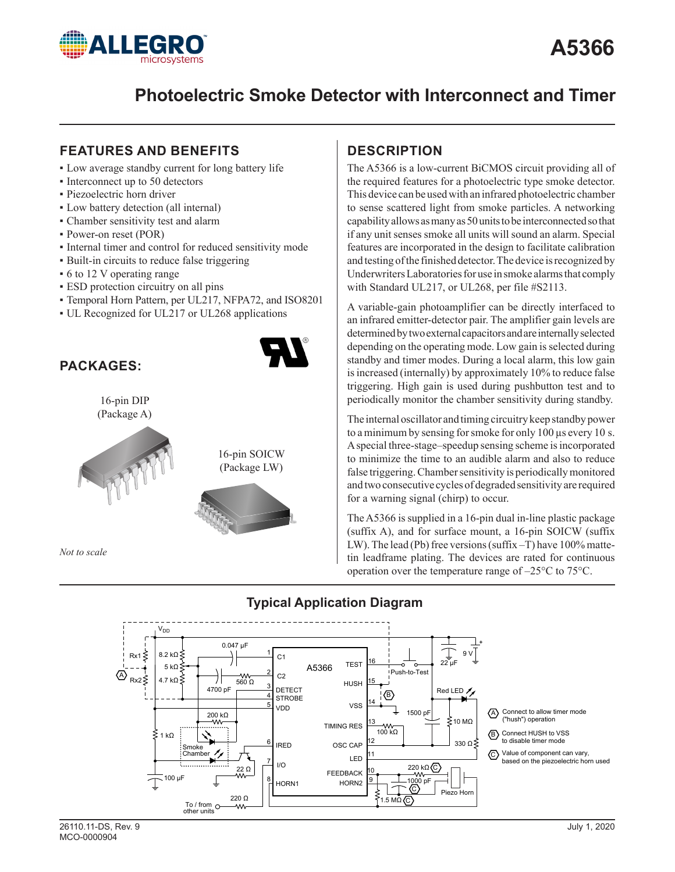

# **Photoelectric Smoke Detector with Interconnect and Timer**

## **FEATURES AND BENEFITS**

- Low average standby current for long battery life
- Interconnect up to 50 detectors
- **· Piezoelectric horn driver**
- Low battery detection (all internal)
- Chamber sensitivity test and alarm
- Power-on reset (POR)
- **•** Internal timer and control for reduced sensitivity mode
- **Built-in circuits to reduce false triggering**
- 6 to 12 V operating range
- **ESD** protection circuitry on all pins
- Temporal Horn Pattern, per UL217, NFPA72, and ISO8201
- UL Recognized for UL217 or UL268 applications



# **DESCRIPTION**

The A5366 is a low-current BiCMOS circuit providing all of the required features for a photoelectric type smoke detector. This device can be used with an infrared photoelectric chamber to sense scattered light from smoke particles. A networking capability allows as many as 50 units to be interconnected so that if any unit senses smoke all units will sound an alarm. Special features are incorporated in the design to facilitate calibration and testing of the finished detector. The device is recognized by Underwriters Laboratories for use in smoke alarms that comply with Standard UL217, or UL268, per file #S2113.

A variable-gain photoamplifier can be directly interfaced to an infrared emitter-detector pair. The amplifier gain levels are determined by two external capacitors and are internally selected depending on the operating mode. Low gain is selected during standby and timer modes. During a local alarm, this low gain is increased (internally) by approximately 10% to reduce false triggering. High gain is used during pushbutton test and to periodically monitor the chamber sensitivity during standby.

The internal oscillator and timing circuitry keep standby power to a minimum by sensing for smoke for only 100 µs every 10 s. A special three-stage–speedup sensing scheme is incorporated to minimize the time to an audible alarm and also to reduce false triggering. Chamber sensitivity is periodically monitored and two consecutive cycles of degraded sensitivity are required for a warning signal (chirp) to occur.

The A5366 is supplied in a 16-pin dual in-line plastic package (suffix A), and for surface mount, a 16-pin SOICW (suffix LW). The lead (Pb) free versions (suffix –T) have 100% mattetin leadframe plating. The devices are rated for continuous operation over the temperature range of –25°C to 75°C.



## **Typical Application Diagram**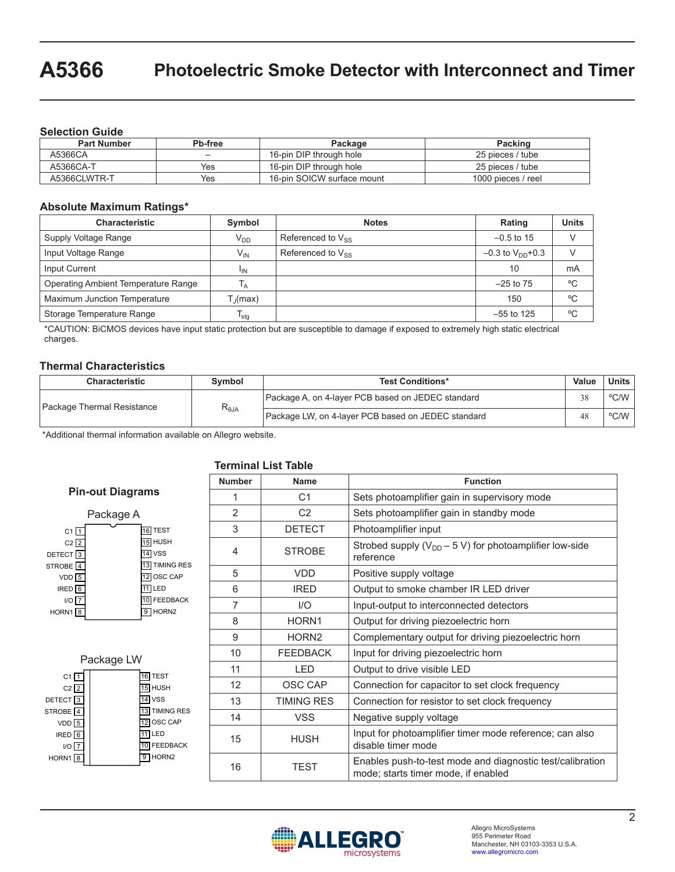#### **Selection Guide**

| <b>Part Number</b> | Pb-free | Package                    | Packing            |
|--------------------|---------|----------------------------|--------------------|
| A5366CA            |         | 16-pin DIP through hole    | 25 pieces / tube   |
| A5366CA-T          | Yes     | 16-pin DIP through hole    | 25 pieces / tube   |
| A5366CLWTR-T       | Yes     | 16-pin SOICW surface mount | 1000 pieces / reel |

#### **Absolute Maximum Ratings\***

| <b>Characteristic</b>               | Symbol                      | <b>Notes</b>           | Rating                  | <b>Units</b> |
|-------------------------------------|-----------------------------|------------------------|-------------------------|--------------|
| Supply Voltage Range                | $V_{DD}$                    | Referenced to $V_{SS}$ | $-0.5$ to 15            |              |
| Input Voltage Range                 | V <sub>IN</sub>             | Referenced to $V_{SS}$ | $-0.3$ to $V_{DD}$ +0.3 |              |
| Input Current                       | <sup>I</sup> IN             |                        | 10                      | mA           |
| Operating Ambient Temperature Range |                             |                        | $-25$ to $75$           | °C           |
| Maximum Junction Temperature        | $\Gamma$ <sub>I</sub> (max) |                        | 150                     | °C           |
| Storage Temperature Range           | $I_{\text{stg}}$            |                        | $-55$ to 125            | °C           |

\*CAUTION: BiCMOS devices have input static protection but are susceptible to damage if exposed to extremely high static electrical charges.

#### **Thermal Characteristics**

| <b>Characteristic</b>      | Symbol                           | <b>Test Conditions*</b>                            |    | <b>Units</b> |
|----------------------------|----------------------------------|----------------------------------------------------|----|--------------|
| Package Thermal Resistance |                                  | Package A, on 4-layer PCB based on JEDEC standard  | 38 | °C/W         |
|                            | $\mathsf{R}_{\theta\mathsf{JA}}$ | Package LW, on 4-layer PCB based on JEDEC standard | 48 | $°C/W$       |

\*Additional thermal information available on Allegro website.

### **Terminal List Table**



|                                                                                                                                 | Package LW |                                                                                                                              |
|---------------------------------------------------------------------------------------------------------------------------------|------------|------------------------------------------------------------------------------------------------------------------------------|
| C1<br>$C2$ $\sqrt{2}$<br>DETECT <sup>3</sup><br>STROBE <sub>[4</sub><br>$VDD$ <sup>5</sup><br>IRED <sup>6</sup><br>I/O<br>HORN1 |            | <b>TEST</b><br><b>HUSH</b><br>5<br><b>VSS</b><br><b>TIMING RES</b><br>OSC CAP<br>LED<br><b>FEEDBACK</b><br>HORN <sub>2</sub> |
|                                                                                                                                 |            |                                                                                                                              |

| <b>Number</b>   | <b>Function</b><br>Name |                                                                                                  |  |
|-----------------|-------------------------|--------------------------------------------------------------------------------------------------|--|
| 1               | C <sub>1</sub>          | Sets photoamplifier gain in supervisory mode                                                     |  |
| 2               | C <sub>2</sub>          | Sets photoamplifier gain in standby mode                                                         |  |
| 3               | <b>DETECT</b>           | Photoamplifier input                                                                             |  |
| 4               | <b>STROBE</b>           | Strobed supply ( $V_{DD}$ – 5 V) for photoamplifier low-side<br>reference                        |  |
| 5<br><b>VDD</b> |                         | Positive supply voltage                                                                          |  |
| 6               | <b>IRED</b>             | Output to smoke chamber IR LED driver                                                            |  |
| $\overline{7}$  | I/O                     | Input-output to interconnected detectors                                                         |  |
| 8               | HORN1                   | Output for driving piezoelectric horn                                                            |  |
| 9               | HORN <sub>2</sub>       | Complementary output for driving piezoelectric horn                                              |  |
| 10              | <b>FEEDBACK</b>         | Input for driving piezoelectric horn                                                             |  |
| 11              | <b>LED</b>              | Output to drive visible LED                                                                      |  |
| 12              | OSC CAP                 | Connection for capacitor to set clock frequency                                                  |  |
| 13              | <b>TIMING RES</b>       | Connection for resistor to set clock frequency                                                   |  |
| 14              | <b>VSS</b>              | Negative supply voltage                                                                          |  |
| 15              | <b>HUSH</b>             | Input for photoamplifier timer mode reference; can also<br>disable timer mode                    |  |
| 16              | TEST                    | Enables push-to-test mode and diagnostic test/calibration<br>mode; starts timer mode, if enabled |  |

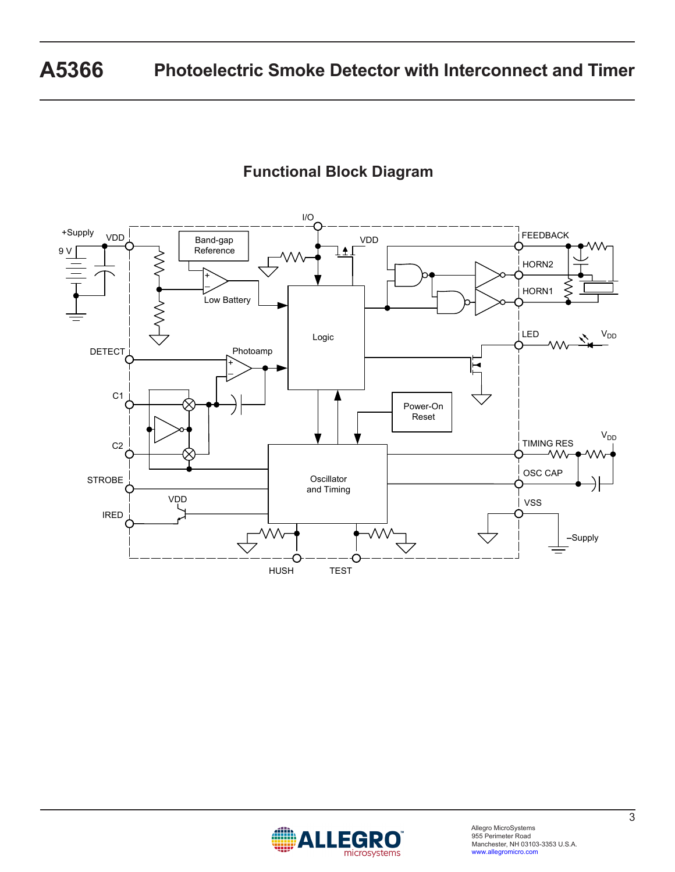# **Functional Block Diagram**



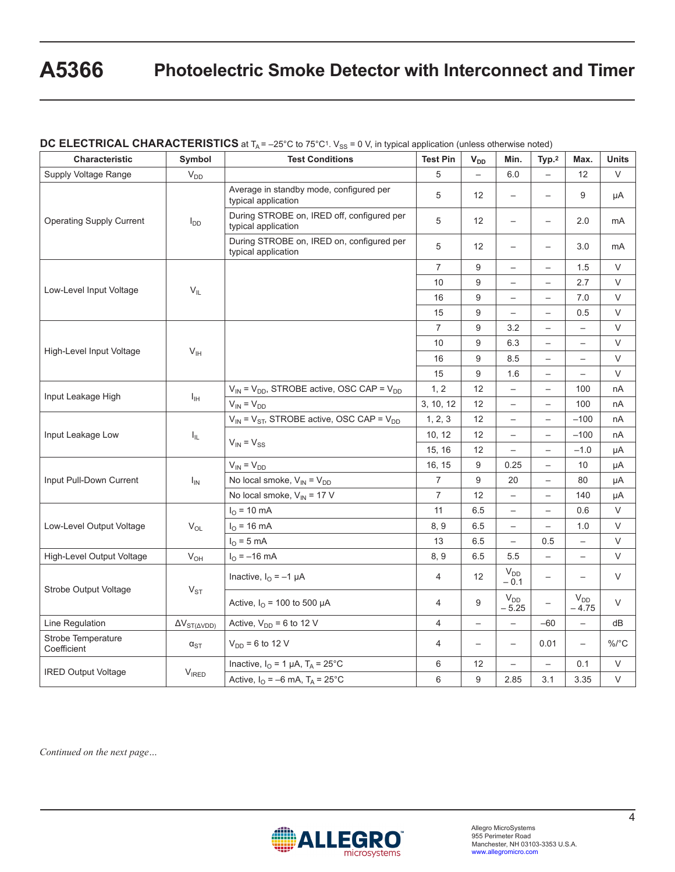# **A5366 Photoelectric Smoke Detector with Interconnect and Timer**

| Characteristic                        | Symbol                                                  | <b>Test Conditions</b>                                                         | <b>Test Pin</b>          | $V_{DD}$                 | Min.                     | Typ. <sup>2</sup>        | Max.                     | <b>Units</b> |
|---------------------------------------|---------------------------------------------------------|--------------------------------------------------------------------------------|--------------------------|--------------------------|--------------------------|--------------------------|--------------------------|--------------|
| Supply Voltage Range                  | $V_{DD}$                                                |                                                                                | 5                        | $\equiv$                 | 6.0                      |                          | 12                       | V            |
|                                       |                                                         | Average in standby mode, configured per<br>typical application                 | 5                        | 12                       | $\overline{\phantom{m}}$ | $\overline{\phantom{0}}$ | 9                        | μA           |
| <b>Operating Supply Current</b>       | $I_{DD}$                                                | During STROBE on, IRED off, configured per<br>typical application              | 5                        | 12                       | $\overline{\phantom{0}}$ | $\overline{\phantom{0}}$ | 2.0                      | mA           |
|                                       |                                                         | During STROBE on, IRED on, configured per<br>typical application               | 5                        | 12 <sup>2</sup>          |                          | $\overline{\phantom{0}}$ | 3.0                      | mA           |
|                                       |                                                         |                                                                                | 7                        | 9                        | $\overline{\phantom{0}}$ | $\overline{\phantom{0}}$ | 1.5                      | V            |
|                                       |                                                         |                                                                                | 10                       | $\boldsymbol{9}$         | $\overline{\phantom{0}}$ | $\overline{\phantom{0}}$ | 2.7                      | V            |
| Low-Level Input Voltage               | $V_{IL}$                                                |                                                                                | 16                       | 9                        | $\overline{\phantom{0}}$ | $\overline{\phantom{0}}$ | 7.0                      | $\vee$       |
|                                       |                                                         |                                                                                | 15                       | 9                        | $\overline{\phantom{0}}$ | $\overline{\phantom{0}}$ | 0.5                      | $\vee$       |
|                                       |                                                         |                                                                                | $\overline{7}$           | 9                        | 3.2                      | $\overline{\phantom{0}}$ | $\overline{\phantom{0}}$ | $\vee$       |
|                                       |                                                         |                                                                                | 10                       | 9                        | 6.3                      | $\overline{\phantom{0}}$ | $\overline{\phantom{0}}$ | $\vee$       |
| High-Level Input Voltage              | $V_{\text{IH}}$                                         |                                                                                | 16                       | 9                        | 8.5                      | $\overline{\phantom{0}}$ | $\overline{\phantom{0}}$ | $\vee$       |
|                                       |                                                         |                                                                                | 15                       | 9                        | 1.6                      | $\overline{\phantom{0}}$ | $\qquad \qquad -$        | V            |
| Input Leakage High<br>$I_{\text{IH}}$ | $V_{IN}$ = $V_{DD}$ , STROBE active, OSC CAP = $V_{DD}$ | 1, 2                                                                           | 12                       | $\overline{\phantom{m}}$ | $\overline{\phantom{0}}$ | 100                      | nA                       |              |
|                                       |                                                         | $V_{IN} = V_{DD}$                                                              | 3, 10, 12                | 12                       | $\overline{\phantom{0}}$ | $\overline{\phantom{0}}$ | 100                      | nA           |
|                                       |                                                         | $V_{IN}$ = $V_{ST}$ , STROBE active, OSC CAP = $V_{DD}$                        | 1, 2, 3                  | 12                       | $\equiv$                 | $\overline{\phantom{0}}$ | $-100$                   | nA           |
| Input Leakage Low                     | $I_{\rm IL}$                                            |                                                                                | 10, 12                   | 12                       | $\overline{\phantom{m}}$ | $\overline{\phantom{0}}$ | $-100$                   | nA           |
|                                       |                                                         | $V_{IN} = V_{SS}$                                                              | 15, 16                   | 12                       | $\overline{\phantom{0}}$ | $\overline{\phantom{0}}$ | $-1.0$                   | μA           |
|                                       |                                                         | $V_{IN} = V_{DD}$                                                              | 16, 15                   | 9                        | 0.25                     | $\overline{\phantom{0}}$ | 10                       | μA           |
| Input Pull-Down Current               | $I_{IN}$                                                | No local smoke, $V_{IN} = V_{DD}$                                              | $\overline{7}$           | 9                        | 20                       | $\overline{\phantom{0}}$ | 80                       | μA           |
|                                       |                                                         | No local smoke, $V_{IN}$ = 17 V                                                | 7                        | 12                       | $\overline{\phantom{0}}$ | $\qquad \qquad -$        | 140                      | μA           |
|                                       |                                                         | $I_{O} = 10$ mA                                                                | 11                       | 6.5                      | $\overline{\phantom{a}}$ | $\qquad \qquad -$        | 0.6                      | V            |
| Low-Level Output Voltage              | $\rm V_{OL}$                                            | $I_{\odot}$ = 16 mA                                                            | 8,9                      | 6.5                      | $\overline{\phantom{m}}$ | $\qquad \qquad -$        | 1.0                      | V            |
|                                       |                                                         | $IO$ = 5 mA                                                                    | 13                       | 6.5                      | $\overline{\phantom{0}}$ | 0.5                      | $\overline{\phantom{0}}$ | $\vee$       |
| High-Level Output Voltage             | $V_{OH}$                                                | $I_{O} = -16$ mA                                                               | 8, 9                     | 6.5                      | 5.5                      | $\overline{\phantom{0}}$ | $\qquad \qquad -$        | $\vee$       |
|                                       |                                                         | Inactive, $I_{O} = -1 \mu A$                                                   | $\overline{\mathcal{L}}$ | 12 <sup>2</sup>          | $V_{DD}$<br>$-0.1$       | $\qquad \qquad -$        | $\overline{\phantom{0}}$ | V            |
| Strobe Output Voltage                 | $V_{ST}$                                                | Active, $IO$ = 100 to 500 µA                                                   | 4                        | 9                        | $V_{DD}$<br>$-5.25$      | $\overline{\phantom{0}}$ | $V_{DD}$<br>$-4.75$      | V            |
| Line Regulation                       | $\Delta V_{ST(\Delta VDD)}$                             | Active, $V_{DD} = 6$ to 12 V                                                   | 4                        | $\qquad \qquad -$        | $\overline{\phantom{m}}$ | $-60$                    | $\overline{\phantom{0}}$ | dB           |
| Strobe Temperature<br>Coefficient     | $\alpha_{\text{ST}}$                                    | $V_{DD} = 6$ to 12 V                                                           | 4                        | $\qquad \qquad -$        | $\overline{\phantom{0}}$ | 0.01                     | $\overline{\phantom{0}}$ | %/°C         |
|                                       |                                                         | Inactive, $I_{\text{O}} = 1 \mu\text{A}$ , $T_{\text{A}} = 25^{\circ}\text{C}$ | 6                        | 12                       | $\qquad \qquad -$        | $\overline{\phantom{0}}$ | 0.1                      | $\vee$       |
| <b>IRED Output Voltage</b>            | $V_{\text{IRED}}$                                       | Active, $I_{\text{O}} = -6$ mA, $T_{\text{A}} = 25^{\circ} \text{C}$           | 6                        | 9                        | 2.85                     | 3.1                      | 3.35                     | $\vee$       |

**DC ELECTRICAL CHARACTERISTICS** at T<sub>A</sub> = -25°C to 75°C<sup>1</sup>. V<sub>SS</sub> = 0 V, in typical application (unless otherwise noted)

*Continued on the next page…*

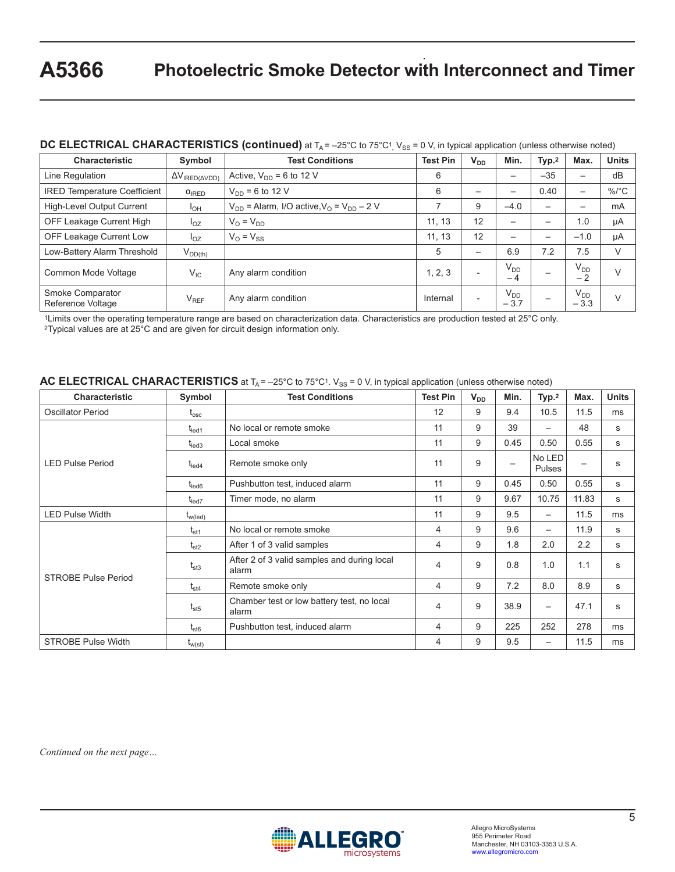### $\bf{DC}\bf{\ \, LECTRICAL}\bf{\ \, CHARACTERISTICS}\bf{ (continued)}$  at T $_A$  = –25°C to 75°C1<sub>,</sub> V<sub>SS</sub> = 0 V, in typical application (unless otherwise noted)

| <b>Characteristic</b>                 | Symbol                                      | <b>Test Conditions</b>                                  | <b>Test Pin</b> | $V_{DD}$                 | Min.                     | Typ. <sup>2</sup> | Max.                     | <b>Units</b> |
|---------------------------------------|---------------------------------------------|---------------------------------------------------------|-----------------|--------------------------|--------------------------|-------------------|--------------------------|--------------|
| Line Regulation                       | $\Delta V_{\text{IRED}(\Delta \text{VDD})}$ | Active, $V_{DD} = 6$ to 12 V                            | 6               |                          | $\overline{\phantom{m}}$ | $-35$             | $\overline{\phantom{m}}$ | dB           |
| <b>IRED Temperature Coefficient</b>   | $\alpha$ <sub>IRED</sub>                    | $V_{DD}$ = 6 to 12 V                                    | 6               |                          |                          | 0.40              | $\overline{\phantom{0}}$ | $\%$ /°C     |
| High-Level Output Current             | $I_{OH}$                                    | $V_{DD}$ = Alarm, I/O active, $V_{OP}$ = $V_{DD}$ – 2 V |                 | 9                        | $-4.0$                   |                   | $\overline{\phantom{0}}$ | mA           |
| OFF Leakage Current High              | $I_{OZ}$                                    | $V_{\Omega} = V_{\text{DD}}$                            | 11, 13          | 12                       | $\overline{\phantom{0}}$ |                   | 1.0                      | μA           |
| <b>OFF Leakage Current Low</b>        | $I_{OZ}$                                    | $V_0 = V_{SS}$                                          | 11, 13          | 12                       | $\overline{\phantom{0}}$ |                   | $-1.0$                   | μA           |
| Low-Battery Alarm Threshold           | $V_{DD(th)}$                                |                                                         | 5               |                          | 6.9                      | 7.2               | 7.5                      | V            |
| Common Mode Voltage                   | $V_{IC}$                                    | Any alarm condition                                     | 1, 2, 3         | $\overline{\phantom{0}}$ | V <sub>DD</sub><br>$-4$  |                   | $V_{DD}$<br>$-2$         | $\vee$       |
| Smoke Comparator<br>Reference Voltage | $V_{REF}$                                   | Any alarm condition                                     | Internal        | $\overline{\phantom{0}}$ | $V_{DD}$<br>$-3.7$       |                   | $V_{DD}$<br>$-3.3$       | $\vee$       |

1Limits over the operating temperature range are based on characterization data. Characteristics are production tested at 25°C only. 2Typical values are at 25°C and are given for circuit design information only.

#### AC ELECTRICAL CHARACTERISTICS at T<sub>A</sub> = -25°C to 75°C<sup>1</sup>. V<sub>SS</sub> = 0 V, in typical application (unless otherwise noted)

| <b>Characteristic</b>      | Symbol            | <b>Test Conditions</b>                               | <b>Test Pin</b> | $V_{DD}$ | Min.                     | Type <sub>1</sub>        | Max.              | <b>Units</b> |
|----------------------------|-------------------|------------------------------------------------------|-----------------|----------|--------------------------|--------------------------|-------------------|--------------|
| <b>Oscillator Period</b>   | $\rm t_{\rm osc}$ |                                                      | 12              | 9        | 9.4                      | 10.5                     | 11.5              | ms           |
|                            | $t_{\sf led1}$    | No local or remote smoke                             | 11              | 9        | 39                       | $\overline{\phantom{0}}$ | 48                | $\mathsf{s}$ |
|                            | $t_{\text{led}}$  | Local smoke                                          | 11              | 9        | 0.45                     | 0.50                     | 0.55              | s            |
| <b>LED Pulse Period</b>    | $t_{\sf{led}}$    | Remote smoke only                                    | 11              | 9        | $\overline{\phantom{0}}$ | No LED<br><b>Pulses</b>  | $\qquad \qquad -$ | s            |
|                            | $t_{\sf led6}$    | Pushbutton test, induced alarm                       | 11              | 9        | 0.45                     | 0.50                     | 0.55              | $\mathsf{s}$ |
|                            | $t_{\sf led7}$    | Timer mode, no alarm                                 | 11              | 9        | 9.67                     | 10.75                    | 11.83             | s            |
| <b>LED Pulse Width</b>     | $t_{w(led)}$      |                                                      | 11              | 9        | 9.5                      | $\qquad \qquad -$        | 11.5              | ms           |
|                            | $t_{\text{st1}}$  | No local or remote smoke                             | 4               | 9        | 9.6                      |                          | 11.9              | $\mathsf{s}$ |
|                            | $t_{st2}$         | After 1 of 3 valid samples                           | 4               | 9        | 1.8                      | 2.0                      | 2.2               | $\mathbf s$  |
| <b>STROBE Pulse Period</b> | $t_{\text{st3}}$  | After 2 of 3 valid samples and during local<br>alarm | 4               | 9        | 0.8                      | 1.0                      | 1.1               | s            |
|                            | $t_{\text{st4}}$  | Remote smoke only                                    | 4               | 9        | 7.2                      | 8.0                      | 8.9               | s            |
|                            | $t_{\rm st5}$     | Chamber test or low battery test, no local<br>alarm  | 4               | 9        | 38.9                     | $\overline{\phantom{0}}$ | 47.1              | S            |
|                            | $t_{\rm st6}$     | Pushbutton test, induced alarm                       | 4               | 9        | 225                      | 252                      | 278               | ms           |
| <b>STROBE Pulse Width</b>  | $t_{w(st)}$       |                                                      | 4               | 9        | 9.5                      | $\qquad \qquad -$        | 11.5              | ms           |

*Continued on the next page…*

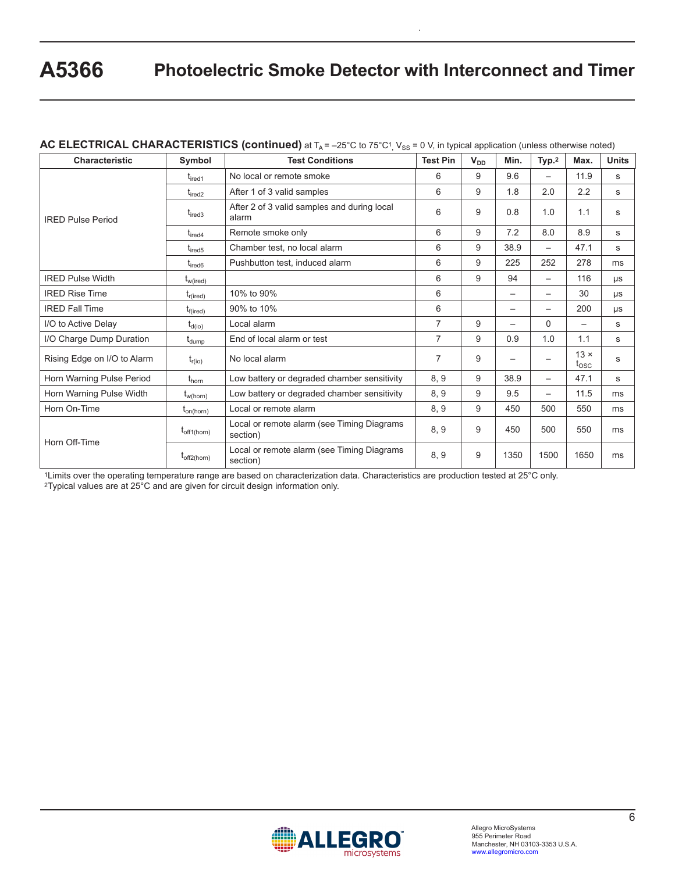| <b>Characteristic</b>       | Symbol               | <b>Test Conditions</b>                                 | <b>Test Pin</b> | $V_{DD}$ | Min.              | Typ. <sup>2</sup>        | Max.                          | <b>Units</b> |
|-----------------------------|----------------------|--------------------------------------------------------|-----------------|----------|-------------------|--------------------------|-------------------------------|--------------|
|                             | $t_{\text{ired1}}$   | No local or remote smoke                               | 6               | 9        | 9.6               | $\overline{\phantom{0}}$ | 11.9                          | s            |
|                             | $t_{\text{ired2}}$   | After 1 of 3 valid samples                             | 6               | 9        | 1.8               | 2.0                      | 2.2                           | S            |
| <b>IRED Pulse Period</b>    | $t_{\text{ired3}}$   | After 2 of 3 valid samples and during local<br>alarm   | 6               | 9        | 0.8               | 1.0                      | 1.1                           | S            |
|                             | $t_{\text{ired4}}$   | Remote smoke only                                      | 6               | 9        | 7.2               | 8.0                      | 8.9                           | S            |
|                             | $t_{\text{ired}5}$   | Chamber test, no local alarm                           | 6               | 9        | 38.9              |                          | 47.1                          | s            |
|                             | $t_{\text{ired6}}$   | Pushbutton test, induced alarm                         | 6               | 9        | 225               | 252                      | 278                           | ms           |
| <b>IRED Pulse Width</b>     | $t_{w(ired)}$        |                                                        | 6               | 9        | 94                |                          | 116                           | μs           |
| <b>IRED Rise Time</b>       | $t_{r(ired)}$        | 10% to 90%                                             | 6               |          |                   | $\overline{\phantom{0}}$ | 30                            | μs           |
| <b>IRED Fall Time</b>       | $t_{\text{f(ired)}}$ | 90% to 10%                                             | 6               |          |                   |                          | 200                           | μs           |
| I/O to Active Delay         | $t_{d(io)}$          | Local alarm                                            | $\overline{7}$  | 9        |                   | $\Omega$                 |                               | s            |
| I/O Charge Dump Duration    | t <sub>dump</sub>    | End of local alarm or test                             | $\overline{7}$  | 9        | 0.9               | 1.0                      | 1.1                           | s            |
| Rising Edge on I/O to Alarm | $t_{r(io)}$          | No local alarm                                         | 7               | 9        | $\qquad \qquad -$ | $\qquad \qquad -$        | $13 \times$<br>$t_{\rm{OSC}}$ | s            |
| Horn Warning Pulse Period   | $t_{\text{horn}}$    | Low battery or degraded chamber sensitivity            | 8, 9            | 9        | 38.9              |                          | 47.1                          | s            |
| Horn Warning Pulse Width    | $t_{w(horn)}$        | Low battery or degraded chamber sensitivity            | 8, 9            | 9        | 9.5               |                          | 11.5                          | ms           |
| Horn On-Time                | $t_{on(horn)}$       | Local or remote alarm                                  | 8, 9            | 9        | 450               | 500                      | 550                           | ms           |
| Horn Off-Time               | $t_{off1(horn)}$     | Local or remote alarm (see Timing Diagrams<br>section) | 8, 9            | 9        | 450               | 500                      | 550                           | ms           |
|                             | $t_{off2(horn)}$     | Local or remote alarm (see Timing Diagrams<br>section) | 8, 9            | 9        | 1350              | 1500                     | 1650                          | ms           |

 $\rm\bf AC\ ELECTRICAL\ CHARACTERISTICS\ (continued)$  at T $_{\rm A}$  = –25°C to 75°C1<sub>,</sub> V<sub>SS</sub> = 0 V, in typical application (unless otherwise noted)

1Limits over the operating temperature range are based on characterization data. Characteristics are production tested at 25°C only. 2Typical values are at 25°C and are given for circuit design information only.

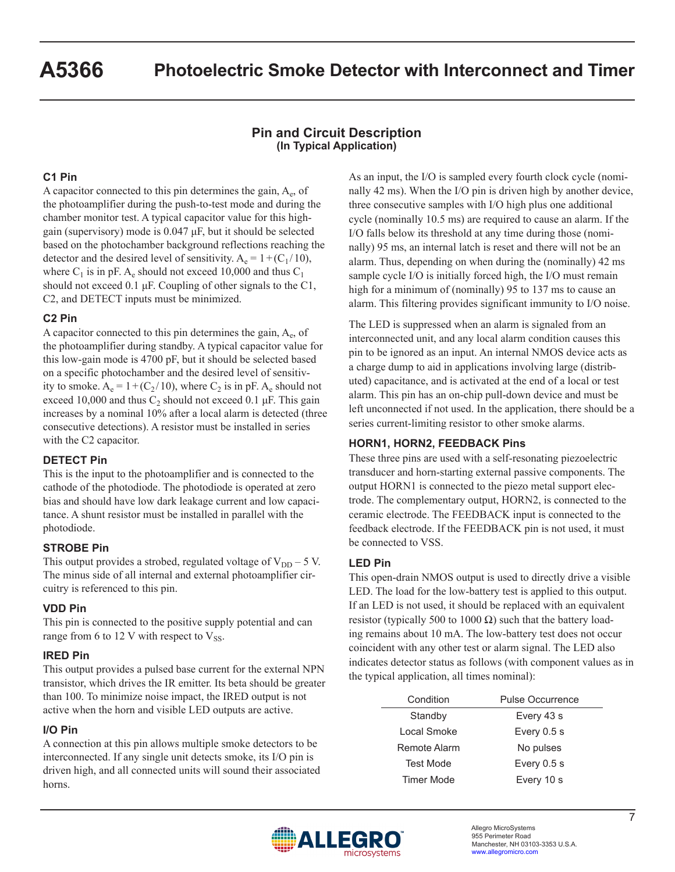## **Pin and Circuit Description (In Typical Application)**

### **C1 Pin**

A capacitor connected to this pin determines the gain,  $A_e$ , of the photoamplifier during the push-to-test mode and during the chamber monitor test. A typical capacitor value for this highgain (supervisory) mode is 0.047 μF, but it should be selected based on the photochamber background reflections reaching the detector and the desired level of sensitivity.  $A_e = 1 + (C_1/10)$ , where  $C_1$  is in pF. A<sub>e</sub> should not exceed 10,000 and thus  $C_1$ should not exceed 0.1 μF. Coupling of other signals to the C1, C2, and DETECT inputs must be minimized.

#### **C2 Pin**

A capacitor connected to this pin determines the gain,  $A_e$ , of the photoamplifier during standby. A typical capacitor value for this low-gain mode is 4700 pF, but it should be selected based on a specific photochamber and the desired level of sensitivity to smoke.  $A_e = 1 + (C_2 / 10)$ , where  $C_2$  is in pF.  $A_e$  should not exceed 10,000 and thus  $C_2$  should not exceed 0.1 µF. This gain increases by a nominal 10% after a local alarm is detected (three consecutive detections). A resistor must be installed in series with the C2 capacitor.

#### **DETECT Pin**

This is the input to the photoamplifier and is connected to the cathode of the photodiode. The photodiode is operated at zero bias and should have low dark leakage current and low capacitance. A shunt resistor must be installed in parallel with the photodiode.

#### **STROBE Pin**

This output provides a strobed, regulated voltage of  $V_{DD}$  – 5 V. The minus side of all internal and external photoamplifier circuitry is referenced to this pin.

#### **VDD Pin**

This pin is connected to the positive supply potential and can range from 6 to 12 V with respect to  $V_{SS}$ .

#### **IRED Pin**

This output provides a pulsed base current for the external NPN transistor, which drives the IR emitter. Its beta should be greater than 100. To minimize noise impact, the IRED output is not active when the horn and visible LED outputs are active.

#### **I/O Pin**

A connection at this pin allows multiple smoke detectors to be interconnected. If any single unit detects smoke, its I/O pin is driven high, and all connected units will sound their associated horns.

As an input, the I/O is sampled every fourth clock cycle (nominally 42 ms). When the I/O pin is driven high by another device, three consecutive samples with I/O high plus one additional cycle (nominally 10.5 ms) are required to cause an alarm. If the I/O falls below its threshold at any time during those (nominally) 95 ms, an internal latch is reset and there will not be an alarm. Thus, depending on when during the (nominally) 42 ms sample cycle I/O is initially forced high, the I/O must remain high for a minimum of (nominally) 95 to 137 ms to cause an alarm. This filtering provides significant immunity to I/O noise.

The LED is suppressed when an alarm is signaled from an interconnected unit, and any local alarm condition causes this pin to be ignored as an input. An internal NMOS device acts as a charge dump to aid in applications involving large (distributed) capacitance, and is activated at the end of a local or test alarm. This pin has an on-chip pull-down device and must be left unconnected if not used. In the application, there should be a series current-limiting resistor to other smoke alarms.

#### **HORN1, HORN2, FEEDBACK Pins**

These three pins are used with a self-resonating piezoelectric transducer and horn-starting external passive components. The output HORN1 is connected to the piezo metal support electrode. The complementary output, HORN2, is connected to the ceramic electrode. The FEEDBACK input is connected to the feedback electrode. If the FEEDBACK pin is not used, it must be connected to VSS.

#### **LED Pin**

This open-drain NMOS output is used to directly drive a visible LED. The load for the low-battery test is applied to this output. If an LED is not used, it should be replaced with an equivalent resistor (typically 500 to 1000  $\Omega$ ) such that the battery loading remains about 10 mA. The low-battery test does not occur coincident with any other test or alarm signal. The LED also indicates detector status as follows (with component values as in the typical application, all times nominal):

| Condition        | Pulse Occurrence |
|------------------|------------------|
| Standby          | Every 43 s       |
| Local Smoke      | Every $0.5 s$    |
| Remote Alarm     | No pulses        |
| <b>Test Mode</b> | Every $0.5 s$    |
| Timer Mode       | Every 10 s       |

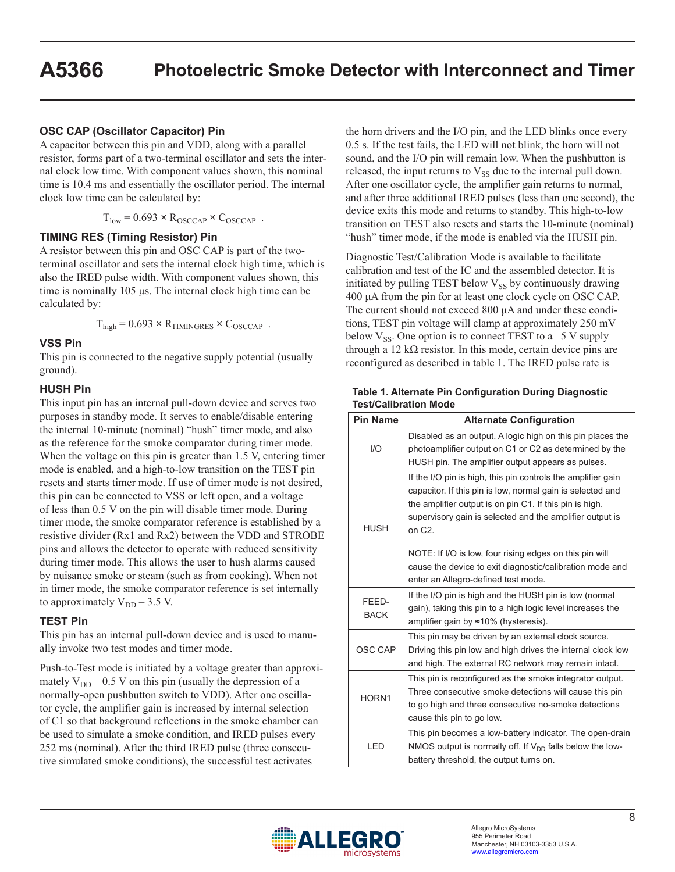#### **OSC CAP (Oscillator Capacitor) Pin**

A capacitor between this pin and VDD, along with a parallel resistor, forms part of a two-terminal oscillator and sets the internal clock low time. With component values shown, this nominal time is 10.4 ms and essentially the oscillator period. The internal clock low time can be calculated by:

 $T_{low} = 0.693 \times R_{OSCCAP} \times C_{OSCCAP}$ .

#### **TIMING RES (Timing Resistor) Pin**

A resistor between this pin and OSC CAP is part of the twoterminal oscillator and sets the internal clock high time, which is also the IRED pulse width. With component values shown, this time is nominally 105 μs. The internal clock high time can be calculated by:

 $T_{\text{high}} = 0.693 \times R_{\text{TIMINGRES}} \times C_{\text{OSCCAP}}$ .

#### **VSS Pin**

This pin is connected to the negative supply potential (usually ground).

#### **HUSH Pin**

This input pin has an internal pull-down device and serves two purposes in standby mode. It serves to enable/disable entering the internal 10-minute (nominal) "hush" timer mode, and also as the reference for the smoke comparator during timer mode. When the voltage on this pin is greater than 1.5 V, entering timer mode is enabled, and a high-to-low transition on the TEST pin resets and starts timer mode. If use of timer mode is not desired, this pin can be connected to VSS or left open, and a voltage of less than 0.5 V on the pin will disable timer mode. During timer mode, the smoke comparator reference is established by a resistive divider (Rx1 and Rx2) between the VDD and STROBE pins and allows the detector to operate with reduced sensitivity during timer mode. This allows the user to hush alarms caused by nuisance smoke or steam (such as from cooking). When not in timer mode, the smoke comparator reference is set internally to approximately  $V_{DD}$  – 3.5 V.

#### **TEST Pin**

This pin has an internal pull-down device and is used to manually invoke two test modes and timer mode.

Push-to-Test mode is initiated by a voltage greater than approximately  $V_{DD}$  – 0.5 V on this pin (usually the depression of a normally-open pushbutton switch to VDD). After one oscillator cycle, the amplifier gain is increased by internal selection of C1 so that background reflections in the smoke chamber can be used to simulate a smoke condition, and IRED pulses every 252 ms (nominal). After the third IRED pulse (three consecutive simulated smoke conditions), the successful test activates

the horn drivers and the I/O pin, and the LED blinks once every 0.5 s. If the test fails, the LED will not blink, the horn will not sound, and the I/O pin will remain low. When the pushbutton is released, the input returns to  $V_{SS}$  due to the internal pull down. After one oscillator cycle, the amplifier gain returns to normal, and after three additional IRED pulses (less than one second), the device exits this mode and returns to standby. This high-to-low transition on TEST also resets and starts the 10-minute (nominal) "hush" timer mode, if the mode is enabled via the HUSH pin.

Diagnostic Test/Calibration Mode is available to facilitate calibration and test of the IC and the assembled detector. It is initiated by pulling TEST below  $V_{SS}$  by continuously drawing 400 μA from the pin for at least one clock cycle on OSC CAP. The current should not exceed 800 μA and under these conditions, TEST pin voltage will clamp at approximately 250 mV below  $V_{SS}$ . One option is to connect TEST to a –5 V supply through a 12 k $\Omega$  resistor. In this mode, certain device pins are reconfigured as described in table 1. The IRED pulse rate is

| <b>Pin Name</b>                                                                                                                                                             | <b>Alternate Configuration</b>                                                                                                                                                                                                                                                                                            |  |
|-----------------------------------------------------------------------------------------------------------------------------------------------------------------------------|---------------------------------------------------------------------------------------------------------------------------------------------------------------------------------------------------------------------------------------------------------------------------------------------------------------------------|--|
| I/O                                                                                                                                                                         | Disabled as an output. A logic high on this pin places the<br>photoamplifier output on C1 or C2 as determined by the<br>HUSH pin. The amplifier output appears as pulses.                                                                                                                                                 |  |
| <b>HUSH</b>                                                                                                                                                                 | If the I/O pin is high, this pin controls the amplifier gain<br>capacitor. If this pin is low, normal gain is selected and<br>the amplifier output is on pin C1. If this pin is high,<br>supervisory gain is selected and the amplifier output is<br>on $C2$ .<br>NOTE: If I/O is low, four rising edges on this pin will |  |
|                                                                                                                                                                             | cause the device to exit diagnostic/calibration mode and<br>enter an Allegro-defined test mode.                                                                                                                                                                                                                           |  |
| FEED-<br><b>BACK</b>                                                                                                                                                        | If the I/O pin is high and the HUSH pin is low (normal<br>gain), taking this pin to a high logic level increases the<br>amplifier gain by ≈10% (hysteresis).                                                                                                                                                              |  |
| OSC CAP                                                                                                                                                                     | This pin may be driven by an external clock source.<br>Driving this pin low and high drives the internal clock low<br>and high. The external RC network may remain intact.                                                                                                                                                |  |
| HORN1                                                                                                                                                                       | This pin is reconfigured as the smoke integrator output.<br>Three consecutive smoke detections will cause this pin<br>to go high and three consecutive no-smoke detections<br>cause this pin to go low.                                                                                                                   |  |
| This pin becomes a low-battery indicator. The open-drain<br>NMOS output is normally off. If $V_{DD}$ falls below the low-<br>LED<br>battery threshold, the output turns on. |                                                                                                                                                                                                                                                                                                                           |  |

#### **Table 1. Alternate Pin Configuration During Diagnostic Test/Calibration Mode**

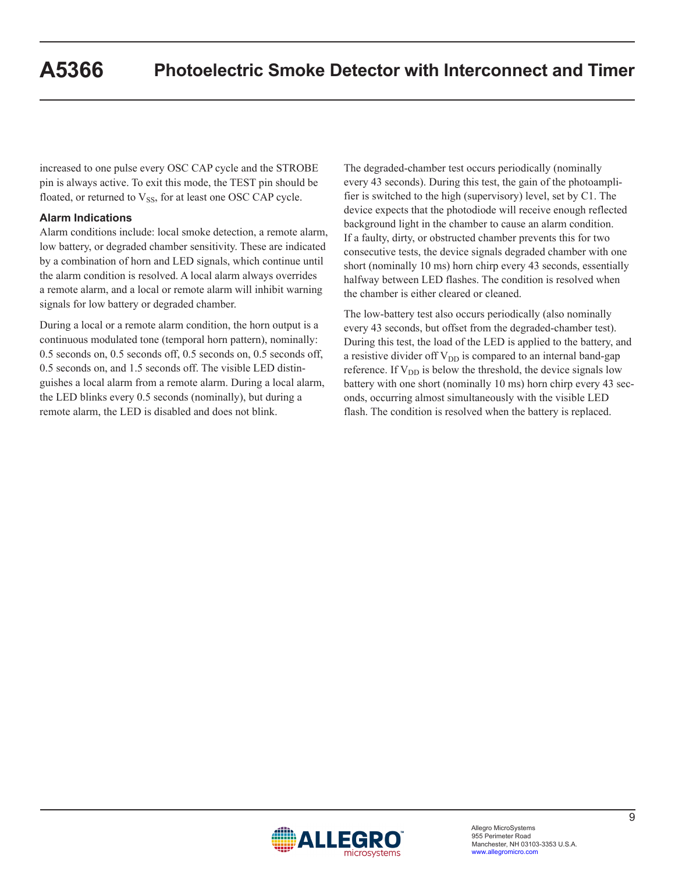increased to one pulse every OSC CAP cycle and the STROBE pin is always active. To exit this mode, the TEST pin should be floated, or returned to  $V_{SS}$ , for at least one OSC CAP cycle.

### **Alarm Indications**

Alarm conditions include: local smoke detection, a remote alarm, low battery, or degraded chamber sensitivity. These are indicated by a combination of horn and LED signals, which continue until the alarm condition is resolved. A local alarm always overrides a remote alarm, and a local or remote alarm will inhibit warning signals for low battery or degraded chamber.

During a local or a remote alarm condition, the horn output is a continuous modulated tone (temporal horn pattern), nominally: 0.5 seconds on, 0.5 seconds off, 0.5 seconds on, 0.5 seconds off, 0.5 seconds on, and 1.5 seconds off. The visible LED distinguishes a local alarm from a remote alarm. During a local alarm, the LED blinks every 0.5 seconds (nominally), but during a remote alarm, the LED is disabled and does not blink.

The degraded-chamber test occurs periodically (nominally every 43 seconds). During this test, the gain of the photoamplifier is switched to the high (supervisory) level, set by C1. The device expects that the photodiode will receive enough reflected background light in the chamber to cause an alarm condition. If a faulty, dirty, or obstructed chamber prevents this for two consecutive tests, the device signals degraded chamber with one short (nominally 10 ms) horn chirp every 43 seconds, essentially halfway between LED flashes. The condition is resolved when the chamber is either cleared or cleaned.

The low-battery test also occurs periodically (also nominally every 43 seconds, but offset from the degraded-chamber test). During this test, the load of the LED is applied to the battery, and a resistive divider off  $V_{DD}$  is compared to an internal band-gap reference. If  $V_{DD}$  is below the threshold, the device signals low battery with one short (nominally 10 ms) horn chirp every 43 seconds, occurring almost simultaneously with the visible LED flash. The condition is resolved when the battery is replaced.

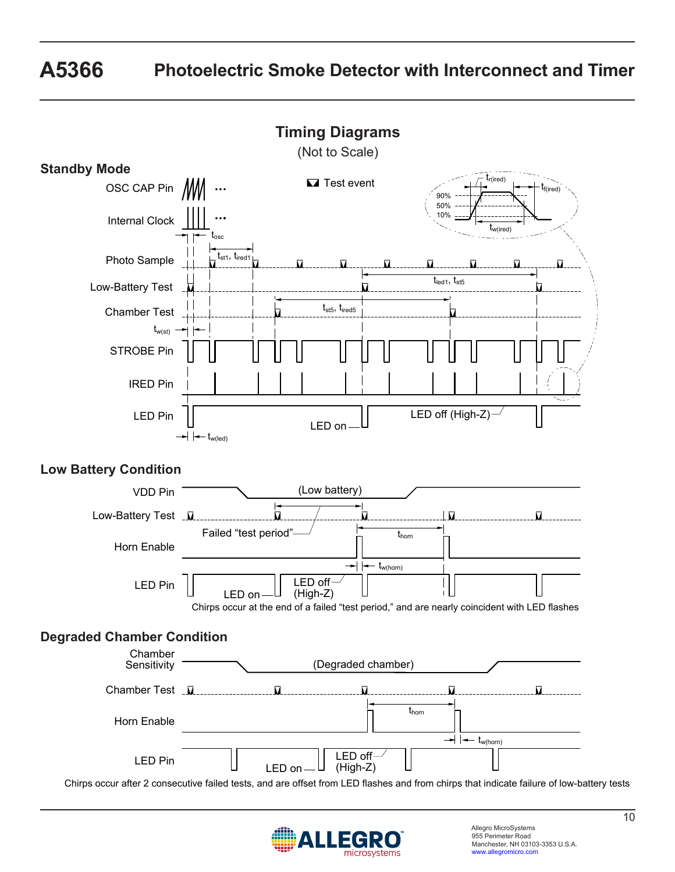



Allegro MicroSystems 955 Perimeter Road Manchester, NH 03103-3353 U.S.A. www.allegromicro.com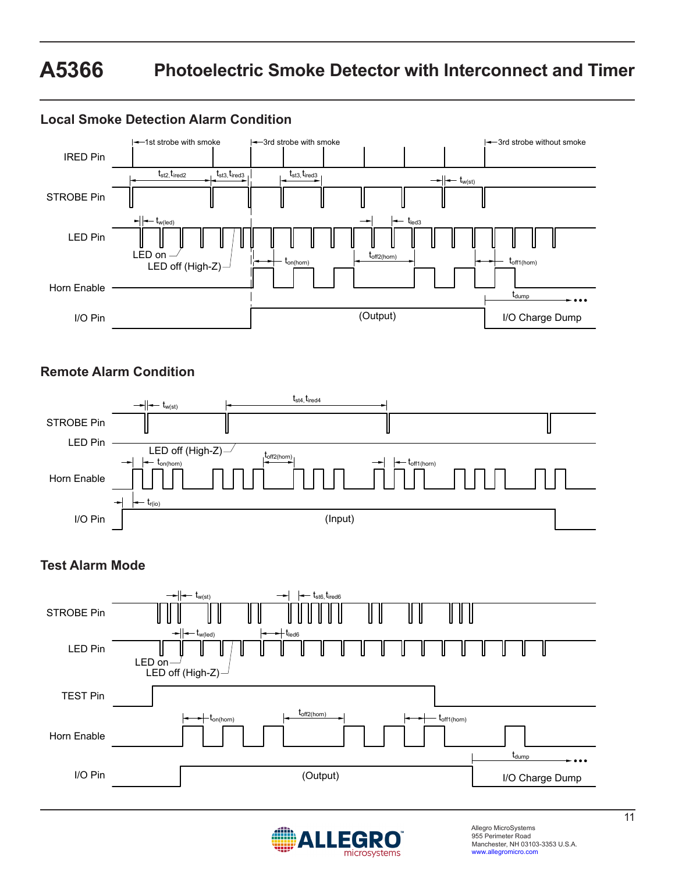# **A5366 Photoelectric Smoke Detector with Interconnect and Timer**

#### Horn Enable  $h(\text{hom})$  ton  $\left| \begin{array}{ccc} \text{tr}_{(110111)} & \bullet \\ \hline \end{array} \right|$  toff1(horn) t<sub>off2(horn)</sub> I/O Pin LED Pin  $t_{st2}$ ,  $t_{\text{ired2}}$  $\mathsf{t}_{\mathsf{w}(\mathsf{led})}$ 3rd strobe without smoke STROBE Pin IRED Pin  $t_{w(st)}$ t<sub>dump</sub> I/O Charge Dump (Output)  $t_{\sf led3}$  $t_{\text{st3}}$ ,  $t_{\text{ired3}}$   $t_{\text{st3}}$ ,  $t_{\text{ired3}}$  $-1$ st strobe with smoke  $\leftarrow$  3rd strobe with smoke LED off (High-Z) LED on **Local Smoke Detection Alarm Condition**

## **Remote Alarm Condition**



## **Test Alarm Mode**



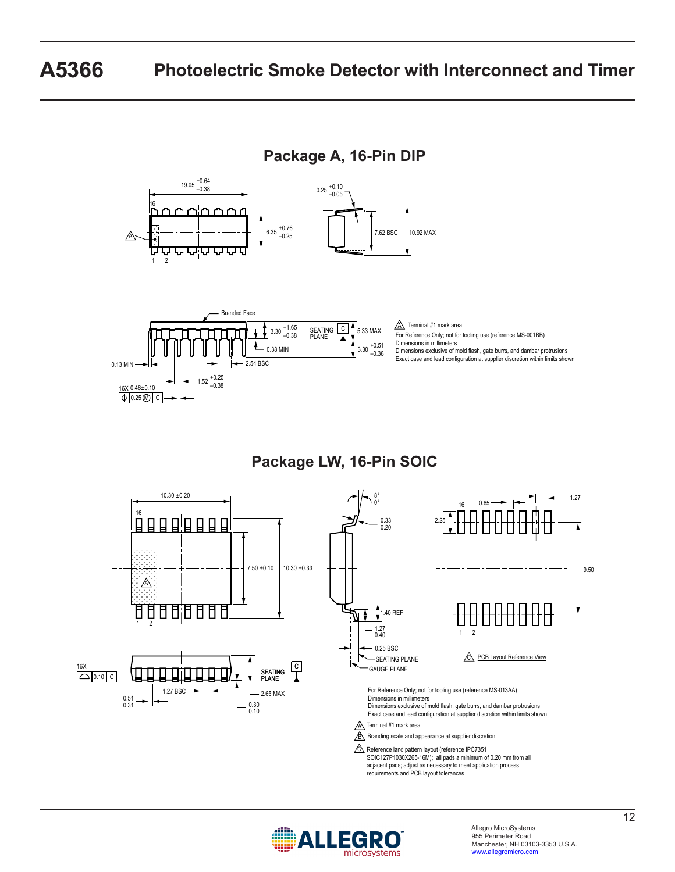# **A5366 Photoelectric Smoke Detector with Interconnect and Timer**

**Package A, 16-Pin DIP**





**Package LW, 16-Pin SOIC**